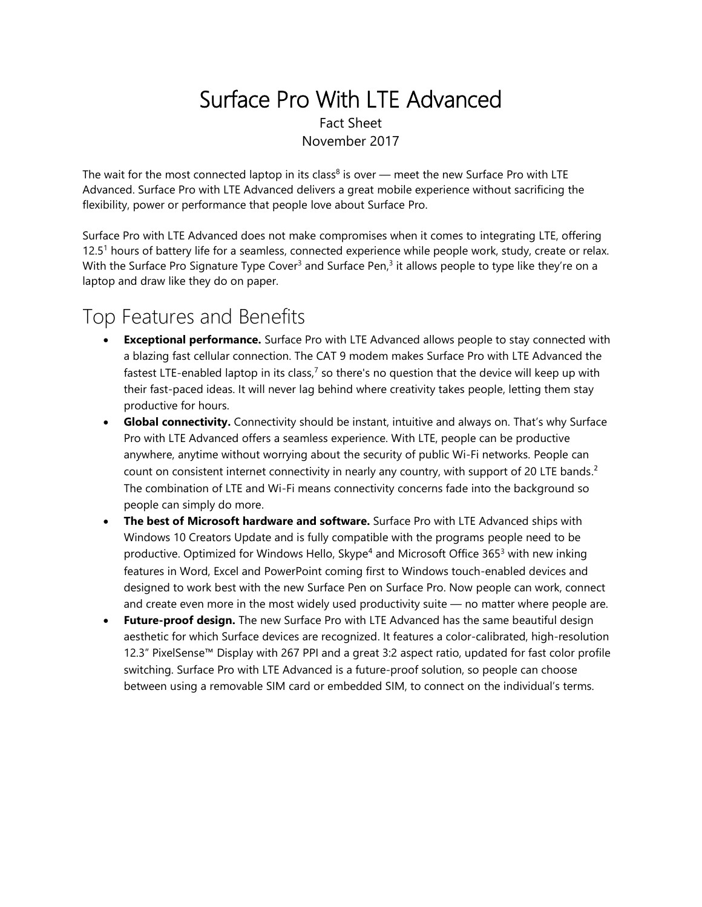### Surface Pro With LTE Advanced Fact Sheet November 2017

The wait for the most connected laptop in its class<sup>8</sup> is over — meet the new Surface Pro with LTE Advanced. Surface Pro with LTE Advanced delivers a great mobile experience without sacrificing the flexibility, power or performance that people love about Surface Pro.

Surface Pro with LTE Advanced does not make compromises when it comes to integrating LTE, offering 12.5<sup>1</sup> hours of battery life for a seamless, connected experience while people work, study, create or relax. With the Surface Pro Signature Type Cover<sup>3</sup> and Surface Pen,<sup>3</sup> it allows people to type like they're on a laptop and draw like they do on paper.

### Top Features and Benefits

- **Exceptional performance.** Surface Pro with LTE Advanced allows people to stay connected with a blazing fast cellular connection. The CAT 9 modem makes Surface Pro with LTE Advanced the fastest LTE-enabled laptop in its class,<sup>7</sup> so there's no question that the device will keep up with their fast-paced ideas. It will never lag behind where creativity takes people, letting them stay productive for hours.
- **Global connectivity.** Connectivity should be instant, intuitive and always on. That's why Surface Pro with LTE Advanced offers a seamless experience. With LTE, people can be productive anywhere, anytime without worrying about the security of public Wi-Fi networks. People can count on consistent internet connectivity in nearly any country, with support of 20 LTE bands.<sup>2</sup> The combination of LTE and Wi-Fi means connectivity concerns fade into the background so people can simply do more.
- **The best of Microsoft hardware and software.** Surface Pro with LTE Advanced ships with Windows 10 Creators Update and is fully compatible with the programs people need to be productive. Optimized for Windows Hello, Skype<sup>4</sup> and Microsoft Office 365<sup>3</sup> with new inking features in Word, Excel and PowerPoint coming first to Windows touch-enabled devices and designed to work best with the new Surface Pen on Surface Pro. Now people can work, connect and create even more in the most widely used productivity suite — no matter where people are.
- **Future-proof design.** The new Surface Pro with LTE Advanced has the same beautiful design aesthetic for which Surface devices are recognized. It features a color-calibrated, high-resolution 12.3" PixelSense™ Display with 267 PPI and a great 3:2 aspect ratio, updated for fast color profile switching. Surface Pro with LTE Advanced is a future-proof solution, so people can choose between using a removable SIM card or embedded SIM, to connect on the individual's terms.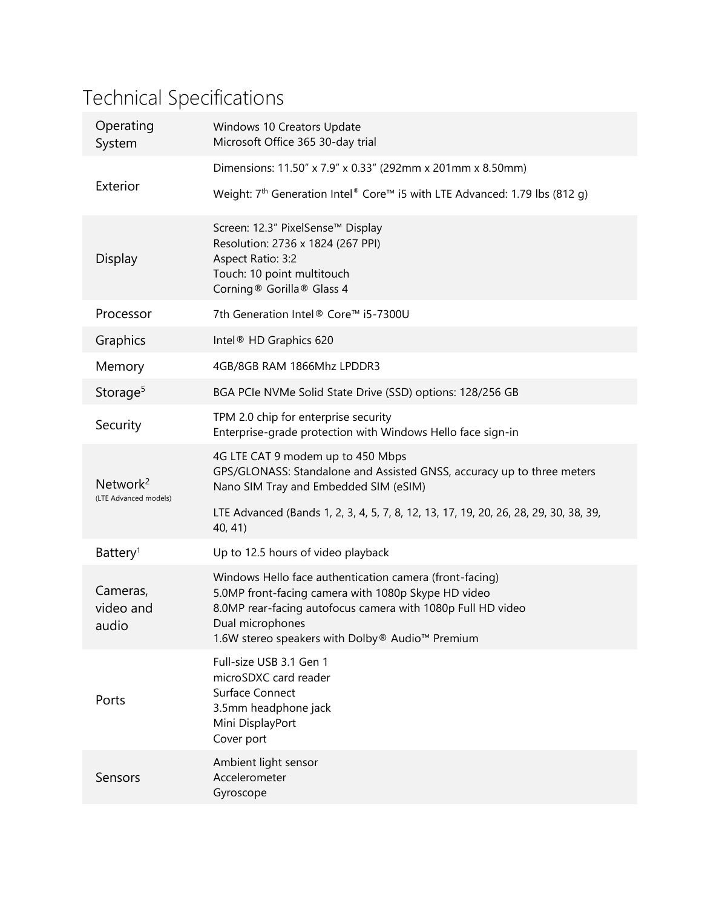# Technical Specifications

| Operating<br>System                           | Windows 10 Creators Update<br>Microsoft Office 365 30-day trial                                                                                                                                                                                      |
|-----------------------------------------------|------------------------------------------------------------------------------------------------------------------------------------------------------------------------------------------------------------------------------------------------------|
| Exterior                                      | Dimensions: 11.50" x 7.9" x 0.33" (292mm x 201mm x 8.50mm)                                                                                                                                                                                           |
|                                               | Weight: 7 <sup>th</sup> Generation Intel® Core™ i5 with LTE Advanced: 1.79 lbs (812 g)                                                                                                                                                               |
| Display                                       | Screen: 12.3" PixelSense™ Display<br>Resolution: 2736 x 1824 (267 PPI)<br>Aspect Ratio: 3:2<br>Touch: 10 point multitouch<br>Corning® Gorilla® Glass 4                                                                                               |
| Processor                                     | 7th Generation Intel® Core™ i5-7300U                                                                                                                                                                                                                 |
| Graphics                                      | Intel <sup>®</sup> HD Graphics 620                                                                                                                                                                                                                   |
| Memory                                        | 4GB/8GB RAM 1866Mhz LPDDR3                                                                                                                                                                                                                           |
| Storage <sup>5</sup>                          | BGA PCIe NVMe Solid State Drive (SSD) options: 128/256 GB                                                                                                                                                                                            |
| Security                                      | TPM 2.0 chip for enterprise security<br>Enterprise-grade protection with Windows Hello face sign-in                                                                                                                                                  |
| Network <sup>2</sup><br>(LTE Advanced models) | 4G LTE CAT 9 modem up to 450 Mbps<br>GPS/GLONASS: Standalone and Assisted GNSS, accuracy up to three meters<br>Nano SIM Tray and Embedded SIM (eSIM)                                                                                                 |
|                                               | LTE Advanced (Bands 1, 2, 3, 4, 5, 7, 8, 12, 13, 17, 19, 20, 26, 28, 29, 30, 38, 39,<br>40, 41)                                                                                                                                                      |
| Battery <sup>1</sup>                          | Up to 12.5 hours of video playback                                                                                                                                                                                                                   |
| Cameras,<br>video and<br>audio                | Windows Hello face authentication camera (front-facing)<br>5.0MP front-facing camera with 1080p Skype HD video<br>8.0MP rear-facing autofocus camera with 1080p Full HD video<br>Dual microphones<br>1.6W stereo speakers with Dolby® Audio™ Premium |
| Ports                                         | Full-size USB 3.1 Gen 1<br>microSDXC card reader<br>Surface Connect<br>3.5mm headphone jack<br>Mini DisplayPort<br>Cover port                                                                                                                        |
| Sensors                                       | Ambient light sensor<br>Accelerometer<br>Gyroscope                                                                                                                                                                                                   |